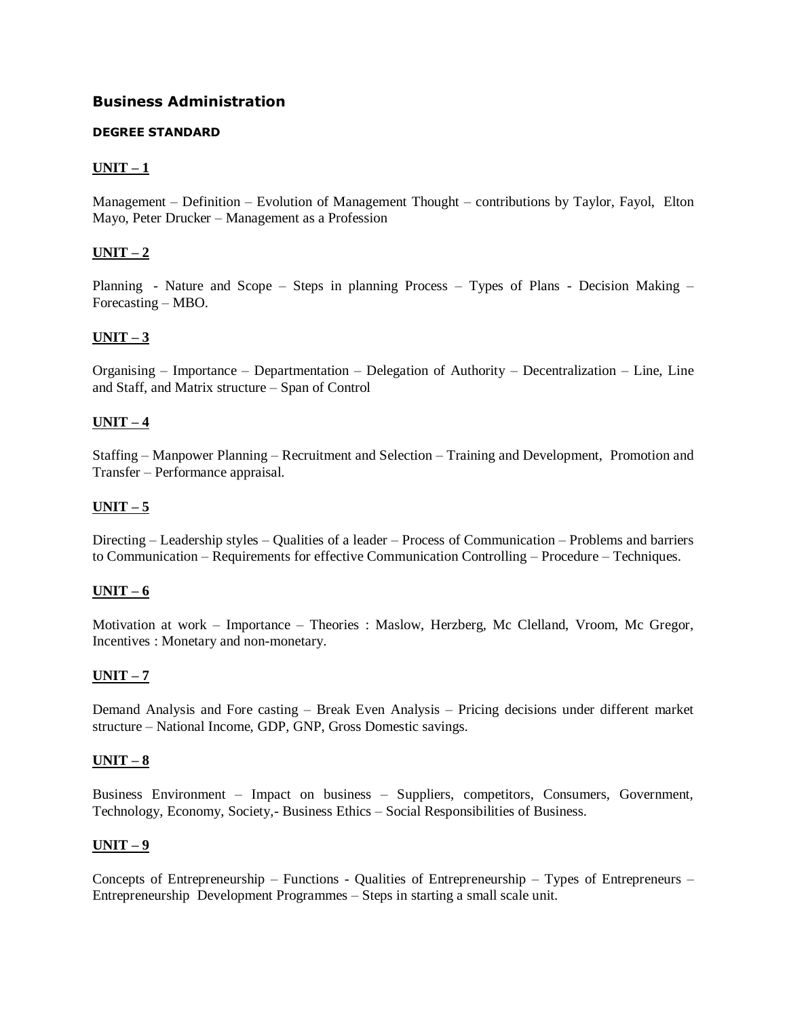# **[Business Administration](http://www.tnpsc.gov.in/Syllabus/BusAdmDegree.htm)**

#### **DEGREE STANDARD**

## $UNIT - 1$

Management – Definition – Evolution of Management Thought – contributions by Taylor, Fayol, Elton Mayo, Peter Drucker – Management as a Profession

## **UNIT – 2**

Planning - Nature and Scope – Steps in planning Process – Types of Plans - Decision Making – Forecasting – MBO.

#### **UNIT – 3**

Organising – Importance – Departmentation – Delegation of Authority – Decentralization – Line, Line and Staff, and Matrix structure – Span of Control

#### **UNIT – 4**

Staffing – Manpower Planning – Recruitment and Selection – Training and Development, Promotion and Transfer – Performance appraisal.

#### **UNIT – 5**

Directing – Leadership styles – Qualities of a leader – Process of Communication – Problems and barriers to Communication – Requirements for effective Communication Controlling – Procedure – Techniques.

#### **UNIT – 6**

Motivation at work – Importance – Theories : Maslow, Herzberg, Mc Clelland, Vroom, Mc Gregor, Incentives : Monetary and non-monetary.

#### **UNIT – 7**

Demand Analysis and Fore casting – Break Even Analysis – Pricing decisions under different market structure – National Income, GDP, GNP, Gross Domestic savings.

#### **UNIT – 8**

Business Environment – Impact on business – Suppliers, competitors, Consumers, Government, Technology, Economy, Society,- Business Ethics – Social Responsibilities of Business.

#### **UNIT – 9**

Concepts of Entrepreneurship – Functions - Qualities of Entrepreneurship – Types of Entrepreneurs – Entrepreneurship Development Programmes – Steps in starting a small scale unit.